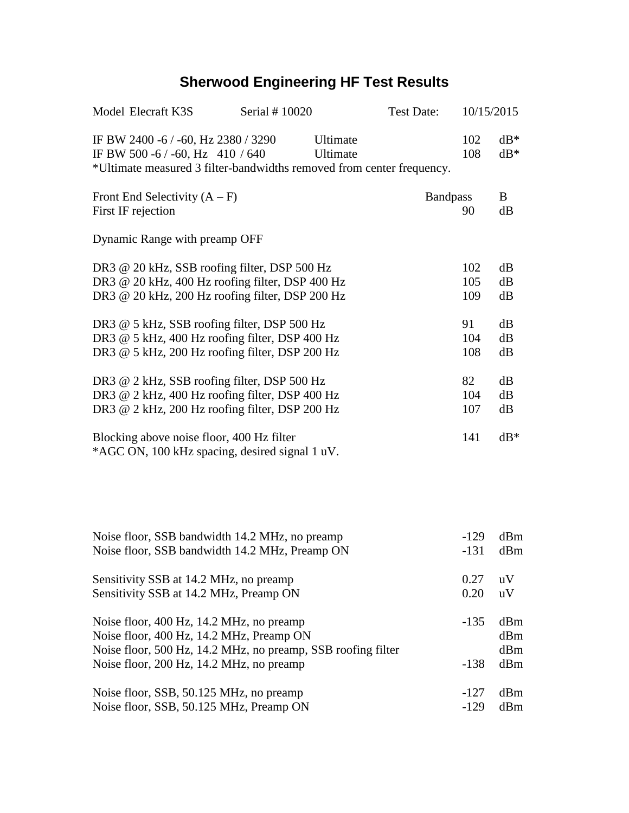## **Sherwood Engineering HF Test Results**

| Model Elecraft K3S                                                                                                                                   | Serial # 10020 |                      | <b>Test Date:</b> | 10/15/2015        |                   |
|------------------------------------------------------------------------------------------------------------------------------------------------------|----------------|----------------------|-------------------|-------------------|-------------------|
| IF BW 2400 -6 / -60, Hz 2380 / 3290<br>IF BW 500 -6 / -60, Hz 410 / 640<br>*Ultimate measured 3 filter-bandwidths removed from center frequency.     |                | Ultimate<br>Ultimate |                   | 102<br>108        | $dB^*$<br>$dB*$   |
| Front End Selectivity $(A - F)$<br>First IF rejection                                                                                                |                |                      | <b>Bandpass</b>   | 90                | B<br>dB           |
| Dynamic Range with preamp OFF                                                                                                                        |                |                      |                   |                   |                   |
| DR3 @ 20 kHz, SSB roofing filter, DSP 500 Hz<br>DR3 @ 20 kHz, 400 Hz roofing filter, DSP 400 Hz<br>DR3 @ 20 kHz, 200 Hz roofing filter, DSP 200 Hz   |                |                      |                   | 102<br>105<br>109 | dB<br>dB<br>dB    |
| DR3 @ 5 kHz, SSB roofing filter, DSP 500 Hz<br>DR3 @ 5 kHz, 400 Hz roofing filter, DSP 400 Hz<br>DR3 @ 5 kHz, 200 Hz roofing filter, DSP 200 Hz      |                |                      |                   | 91<br>104<br>108  | dB<br>dB<br>dB    |
| DR3 @ 2 kHz, SSB roofing filter, DSP 500 Hz<br>DR3 @ 2 kHz, 400 Hz roofing filter, DSP 400 Hz<br>DR3 @ 2 kHz, 200 Hz roofing filter, DSP 200 Hz      |                |                      |                   | 82<br>104<br>107  | dB<br>dB<br>dB    |
| Blocking above noise floor, 400 Hz filter<br>*AGC ON, 100 kHz spacing, desired signal 1 uV.                                                          |                |                      |                   | 141               | $dB*$             |
|                                                                                                                                                      |                |                      |                   |                   |                   |
| Noise floor, SSB bandwidth 14.2 MHz, no preamp<br>Noise floor, SSB bandwidth 14.2 MHz, Preamp ON                                                     |                |                      |                   | $-129$<br>$-131$  | dBm<br>dBm        |
| Sensitivity SSB at 14.2 MHz, no preamp<br>Sensitivity SSB at 14.2 MHz, Preamp ON                                                                     |                |                      |                   | 0.27<br>0.20      | uV<br>uV          |
| Noise floor, 400 Hz, 14.2 MHz, no preamp<br>Noise floor, 400 Hz, 14.2 MHz, Preamp ON<br>Noise floor, 500 Hz, 14.2 MHz, no preamp, SSB roofing filter |                |                      |                   | $-135$            | dBm<br>dBm<br>dBm |
| Noise floor, 200 Hz, 14.2 MHz, no preamp                                                                                                             |                |                      |                   | $-138$            | dBm               |
| Noise floor, SSB, 50.125 MHz, no preamp<br>Noise floor, SSB, 50.125 MHz, Preamp ON                                                                   |                |                      |                   | $-127$<br>$-129$  | dBm<br>dBm        |